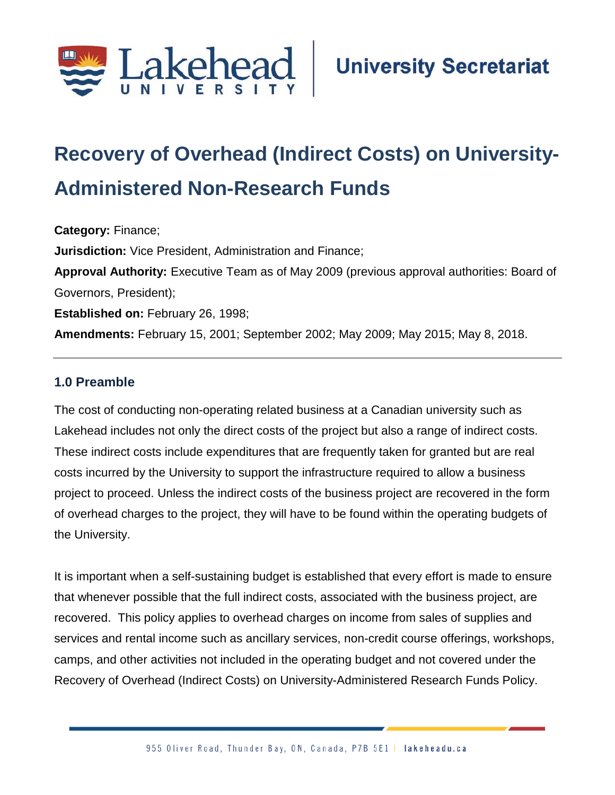

# **Recovery of Overhead (Indirect Costs) on University-Administered Non-Research Funds**

**Category:** Finance; **Jurisdiction:** Vice President, Administration and Finance; **Approval Authority:** Executive Team as of May 2009 (previous approval authorities: Board of Governors, President); **Established on:** February 26, 1998; **Amendments:** February 15, 2001; September 2002; May 2009; May 2015; May 8, 2018.

## **1.0 Preamble**

The cost of conducting non-operating related business at a Canadian university such as Lakehead includes not only the direct costs of the project but also a range of indirect costs. These indirect costs include expenditures that are frequently taken for granted but are real costs incurred by the University to support the infrastructure required to allow a business project to proceed. Unless the indirect costs of the business project are recovered in the form of overhead charges to the project, they will have to be found within the operating budgets of the University.

It is important when a self-sustaining budget is established that every effort is made to ensure that whenever possible that the full indirect costs, associated with the business project, are recovered. This policy applies to overhead charges on income from sales of supplies and services and rental income such as ancillary services, non-credit course offerings, workshops, camps, and other activities not included in the operating budget and not covered under the Recovery of Overhead (Indirect Costs) on University-Administered Research Funds Policy.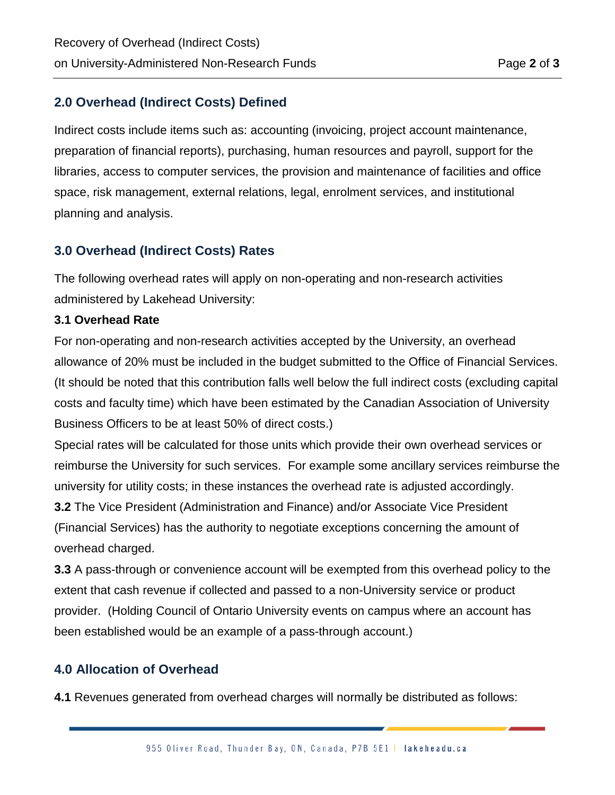# **2.0 Overhead (Indirect Costs) Defined**

Indirect costs include items such as: accounting (invoicing, project account maintenance, preparation of financial reports), purchasing, human resources and payroll, support for the libraries, access to computer services, the provision and maintenance of facilities and office space, risk management, external relations, legal, enrolment services, and institutional planning and analysis.

# **3.0 Overhead (Indirect Costs) Rates**

The following overhead rates will apply on non-operating and non-research activities administered by Lakehead University:

#### **3.1 Overhead Rate**

For non-operating and non-research activities accepted by the University, an overhead allowance of 20% must be included in the budget submitted to the Office of Financial Services. (It should be noted that this contribution falls well below the full indirect costs (excluding capital costs and faculty time) which have been estimated by the Canadian Association of University Business Officers to be at least 50% of direct costs.)

Special rates will be calculated for those units which provide their own overhead services or reimburse the University for such services. For example some ancillary services reimburse the university for utility costs; in these instances the overhead rate is adjusted accordingly.

**3.2** The Vice President (Administration and Finance) and/or Associate Vice President (Financial Services) has the authority to negotiate exceptions concerning the amount of overhead charged.

**3.3** A pass-through or convenience account will be exempted from this overhead policy to the extent that cash revenue if collected and passed to a non-University service or product provider. (Holding Council of Ontario University events on campus where an account has been established would be an example of a pass-through account.)

## **4.0 Allocation of Overhead**

**4.1** Revenues generated from overhead charges will normally be distributed as follows: